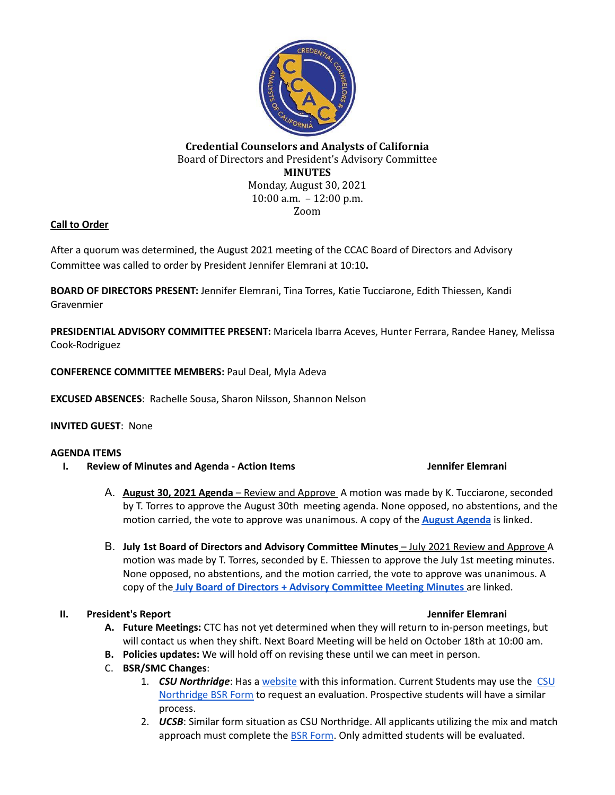

# **Credential Counselors and Analysts of California** Board of Directors and President's Advisory Committee **MINUTES** Monday, August 30, 2021 10:00 a.m. – 12:00 p.m. Zoom

# **Call to Order**

After a quorum was determined, the August 2021 meeting of the CCAC Board of Directors and Advisory Committee was called to order by President Jennifer Elemrani at 10:10**.**

**BOARD OF DIRECTORS PRESENT:** Jennifer Elemrani, Tina Torres, Katie Tucciarone, Edith Thiessen, Kandi Gravenmier

**PRESIDENTIAL ADVISORY COMMITTEE PRESENT:** Maricela Ibarra Aceves, Hunter Ferrara, Randee Haney, Melissa Cook-Rodriguez

**CONFERENCE COMMITTEE MEMBERS:** Paul Deal, Myla Adeva

**EXCUSED ABSENCES**: Rachelle Sousa, Sharon Nilsson, Shannon Nelson

## **INVITED GUEST**: None

## **AGENDA ITEMS**

**I. Review of Minutes and Agenda - Action Items Jennifer Elemrani**

- A. **August 30, 2021 Agenda** Review and Approve A motion was made by K. Tucciarone, seconded by T. Torres to approve the August 30th meeting agenda. None opposed, no abstentions, and the motion carried, the vote to approve was unanimous. A copy of the **August [Agenda](https://docs.google.com/document/d/1uO2O6HETH2liFbNDLyqkXGRdzDFjWs70W105bQeoCEI/edit?usp=sharing)** is linked.
- B. **July 1st Board of Directors and Advisory Committee Minutes** July 2021 Review and Approve A motion was made by T. Torres, seconded by E. Thiessen to approve the July 1st meeting minutes. None opposed, no abstentions, and the motion carried, the vote to approve was unanimous. A copy of the **July Board of Directors + Advisory [Committee](https://docs.google.com/document/d/1lifXdi__dS_hRohYBxqR-k8w6xTQbnwb4ErItGP6ZOY/edit?usp=sharing) Meeting Minutes** are linked.

## **II. President's Report Jennifer Elemrani**

- **A. Future Meetings:** CTC has not yet determined when they will return to in-person meetings, but will contact us when they shift. Next Board Meeting will be held on October 18th at 10:00 am.
- **B. Policies updates:** We will hold off on revising these until we can meet in person.
- C. **BSR/SMC Changes**:
	- 1. *CSU Northridge*: Has a [website](https://www.csun.edu/eisner-education/credential-office/frequently-asked-questions-related-ab-130) with this information. Current Students may use the [CSU](https://www.csun.edu/sites/default/files/BSREvalRequestForm.pdf) [Northridge](https://www.csun.edu/sites/default/files/BSREvalRequestForm.pdf) BSR Form to request an evaluation. Prospective students will have a similar process.
	- 2. *UCSB*: Similar form situation as CSU Northridge. All applicants utilizing the mix and match approach must complete the BSR [Form](https://docs.google.com/document/d/1l42WOGTIg0g2mV5t35KiZ9P0apEFSKBlEJewm1YYsSY/copy). Only admitted students will be evaluated.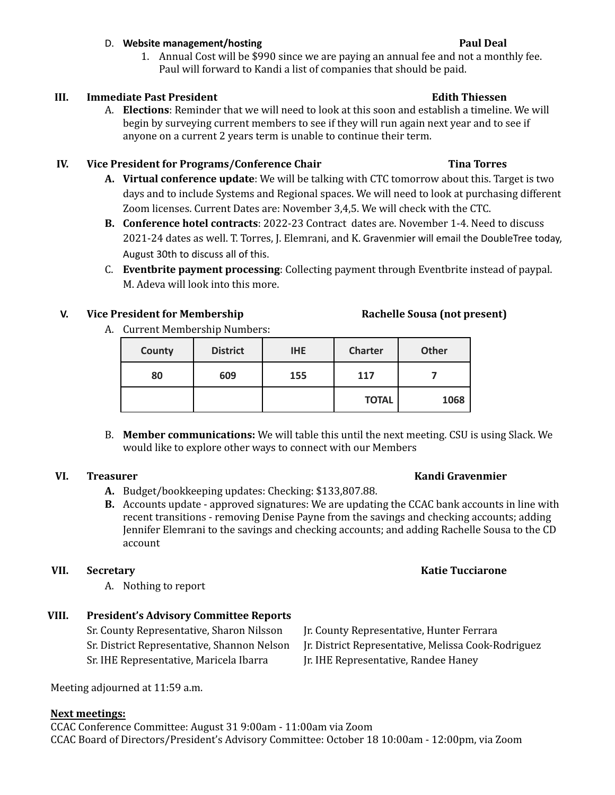## D. **Website management/hosting Paul Deal**

1. Annual Cost will be \$990 since we are paying an annual fee and not a monthly fee. Paul will forward to Kandi a list of companies that should be paid.

# **III. Immediate Past President Edith Thiessen**

A. **Elections**: Reminder that we will need to look at this soon and establish a timeline. We will begin by surveying current members to see if they will run again next year and to see if anyone on a current 2 years term is unable to continue their term.

# **IV. Vice President for Programs/Conference Chair Tina Torres**

- **A. Virtual conference update**: We will be talking with CTC tomorrow about this. Target is two days and to include Systems and Regional spaces. We will need to look at purchasing different Zoom licenses. Current Dates are: November 3,4,5. We will check with the CTC.
- **B. Conference hotel contracts**: 2022-23 Contract dates are. November 1-4. Need to discuss 2021-24 dates as well. T. Torres, J. Elemrani, and K. Gravenmier will email the DoubleTree today, August 30th to discuss all of this.
- C. **Eventbrite payment processing**: Collecting payment through Eventbrite instead of paypal. M. Adeva will look into this more.

# **V. Vice President for Membership Rachelle Sousa (not present)**

A. Current Membership Numbers:

| County | <b>District</b> | <b>IHE</b> | <b>Charter</b> | <b>Other</b> |
|--------|-----------------|------------|----------------|--------------|
| 80     | 609             | 155        | 117            |              |
|        |                 |            | <b>TOTAL</b>   | 1068         |

B. **Member communications:** We will table this until the next meeting. CSU is using Slack. We would like to explore other ways to connect with our Members

- **A.** Budget/bookkeeping updates: Checking: \$133,807.88.
- **B.** Accounts update approved signatures: We are updating the CCAC bank accounts in line with recent transitions - removing Denise Payne from the savings and checking accounts; adding Jennifer Elemrani to the savings and checking accounts; and adding Rachelle Sousa to the CD account

# **VII. Secretary Katie Tucciarone**

A. Nothing to report

# **VIII. President's Advisory Committee Reports**

Sr. County Representative, Sharon Nilsson Jr. County Representative, Hunter Ferrara Sr. IHE Representative, Maricela Ibarra Jr. IHE Representative, Randee Haney

Meeting adjourned at 11:59 a.m.

## **Next meetings:**

CCAC Conference Committee: August 31 9:00am - 11:00am via Zoom CCAC Board of Directors/President's Advisory Committee: October 18 10:00am - 12:00pm, via Zoom

## **VI. Treasurer Kandi Gravenmier**

- Sr. District Representative, Shannon Nelson Jr. District Representative, Melissa Cook-Rodriguez
	-